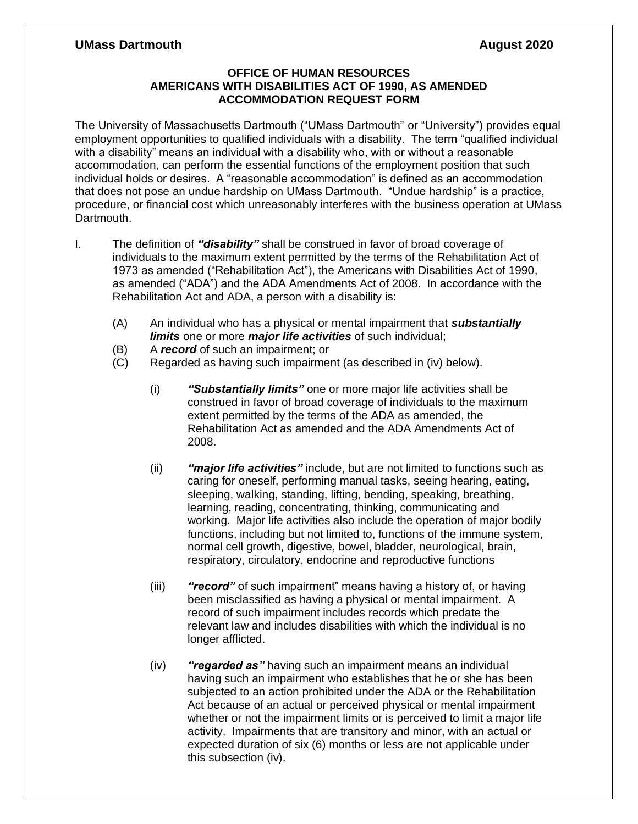## **UMass Dartmouth August 2020**

## **OFFICE OF HUMAN RESOURCES AMERICANS WITH DISABILITIES ACT OF 1990, AS AMENDED ACCOMMODATION REQUEST FORM**

The University of Massachusetts Dartmouth ("UMass Dartmouth" or "University") provides equal employment opportunities to qualified individuals with a disability. The term "qualified individual with a disability" means an individual with a disability who, with or without a reasonable accommodation, can perform the essential functions of the employment position that such individual holds or desires. A "reasonable accommodation" is defined as an accommodation that does not pose an undue hardship on UMass Dartmouth. "Undue hardship" is a practice, procedure, or financial cost which unreasonably interferes with the business operation at UMass Dartmouth.

- I. The definition of *"disability"* shall be construed in favor of broad coverage of individuals to the maximum extent permitted by the terms of the Rehabilitation Act of 1973 as amended ("Rehabilitation Act"), the Americans with Disabilities Act of 1990, as amended ("ADA") and the ADA Amendments Act of 2008. In accordance with the Rehabilitation Act and ADA, a person with a disability is:
	- (A) An individual who has a physical or mental impairment that *substantially limits* one or more *major life activities* of such individual;
	- (B) A *record* of such an impairment; or
	- (C) Regarded as having such impairment (as described in (iv) below).
		- (i) *"Substantially limits"* one or more major life activities shall be construed in favor of broad coverage of individuals to the maximum extent permitted by the terms of the ADA as amended, the Rehabilitation Act as amended and the ADA Amendments Act of 2008.
		- (ii) *"major life activities"* include, but are not limited to functions such as caring for oneself, performing manual tasks, seeing hearing, eating, sleeping, walking, standing, lifting, bending, speaking, breathing, learning, reading, concentrating, thinking, communicating and working. Major life activities also include the operation of major bodily functions, including but not limited to, functions of the immune system, normal cell growth, digestive, bowel, bladder, neurological, brain, respiratory, circulatory, endocrine and reproductive functions
		- (iii) *"record"* of such impairment" means having a history of, or having been misclassified as having a physical or mental impairment. A record of such impairment includes records which predate the relevant law and includes disabilities with which the individual is no longer afflicted.
		- (iv) *"regarded as"* having such an impairment means an individual having such an impairment who establishes that he or she has been subjected to an action prohibited under the ADA or the Rehabilitation Act because of an actual or perceived physical or mental impairment whether or not the impairment limits or is perceived to limit a major life activity. Impairments that are transitory and minor, with an actual or expected duration of six (6) months or less are not applicable under this subsection (iv).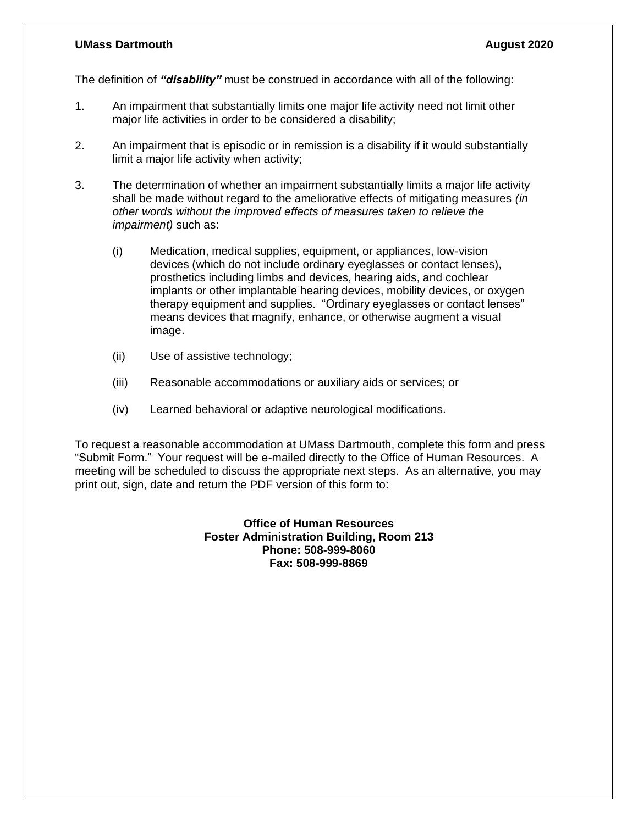## **UMass Dartmouth August 2020**

The definition of *"disability"* must be construed in accordance with all of the following:

- 1. An impairment that substantially limits one major life activity need not limit other major life activities in order to be considered a disability;
- 2. An impairment that is episodic or in remission is a disability if it would substantially limit a major life activity when activity;
- 3. The determination of whether an impairment substantially limits a major life activity shall be made without regard to the ameliorative effects of mitigating measures *(in other words without the improved effects of measures taken to relieve the impairment)* such as:
	- (i) Medication, medical supplies, equipment, or appliances, low-vision devices (which do not include ordinary eyeglasses or contact lenses), prosthetics including limbs and devices, hearing aids, and cochlear implants or other implantable hearing devices, mobility devices, or oxygen therapy equipment and supplies. "Ordinary eyeglasses or contact lenses" means devices that magnify, enhance, or otherwise augment a visual image.
	- (ii) Use of assistive technology;
	- (iii) Reasonable accommodations or auxiliary aids or services; or
	- (iv) Learned behavioral or adaptive neurological modifications.

To request a reasonable accommodation at UMass Dartmouth, complete this form and press "Submit Form." Your request will be e-mailed directly to the Office of Human Resources. A meeting will be scheduled to discuss the appropriate next steps. As an alternative, you may print out, sign, date and return the PDF version of this form to:

> **Office of Human Resources Foster Administration Building, Room 213 Phone: 508-999-8060 Fax: 508-999-8869**